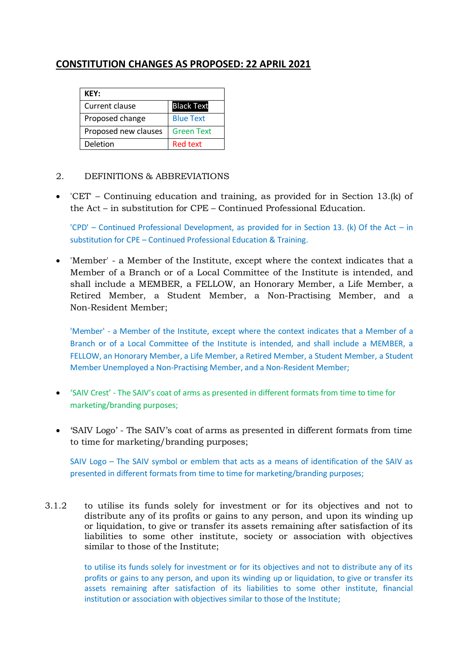# **CONSTITUTION CHANGES AS PROPOSED: 22 APRIL 2021**

| <b>KEY:</b>          |                   |
|----------------------|-------------------|
| Current clause       | <b>Black Text</b> |
| Proposed change      | <b>Blue Text</b>  |
| Proposed new clauses | <b>Green Text</b> |
| Deletion             | <b>Red text</b>   |

## 2. DEFINITIONS & ABBREVIATIONS

 'CET' – Continuing education and training, as provided for in Section 13.(k) of the Act – in substitution for CPE – Continued Professional Education.

'CPD' – Continued Professional Development, as provided for in Section 13. (k) Of the Act – in substitution for CPE – Continued Professional Education & Training.

 'Member' - a Member of the Institute, except where the context indicates that a Member of a Branch or of a Local Committee of the Institute is intended, and shall include a MEMBER, a FELLOW, an Honorary Member, a Life Member, a Retired Member, a Student Member, a Non-Practising Member, and a Non-Resident Member;

'Member' - a Member of the Institute, except where the context indicates that a Member of a Branch or of a Local Committee of the Institute is intended, and shall include a MEMBER, a FELLOW, an Honorary Member, a Life Member, a Retired Member, a Student Member, a Student Member Unemployed a Non-Practising Member, and a Non-Resident Member;

- 'SAIV Crest' The SAIV's coat of arms as presented in different formats from time to time for marketing/branding purposes;
- 'SAIV Logo' The SAIV's coat of arms as presented in different formats from time to time for marketing/branding purposes;

SAIV Logo – The SAIV symbol or emblem that acts as a means of identification of the SAIV as presented in different formats from time to time for marketing/branding purposes;

3.1.2 to utilise its funds solely for investment or for its objectives and not to distribute any of its profits or gains to any person, and upon its winding up or liquidation, to give or transfer its assets remaining after satisfaction of its liabilities to some other institute, society or association with objectives similar to those of the Institute;

> to utilise its funds solely for investment or for its objectives and not to distribute any of its profits or gains to any person, and upon its winding up or liquidation, to give or transfer its assets remaining after satisfaction of its liabilities to some other institute, financial institution or association with objectives similar to those of the Institute;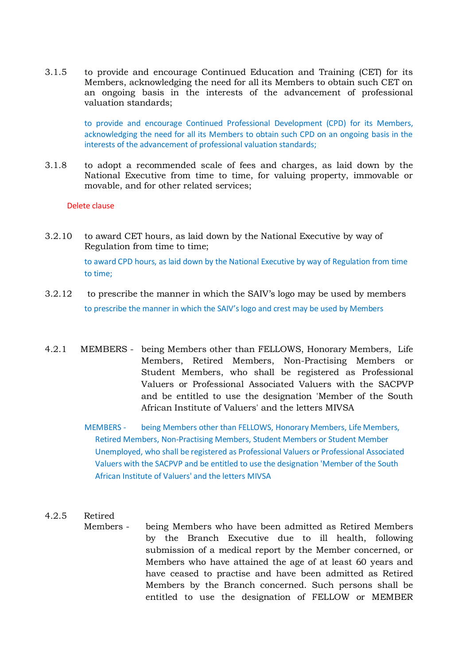3.1.5 to provide and encourage Continued Education and Training (CET) for its Members, acknowledging the need for all its Members to obtain such CET on an ongoing basis in the interests of the advancement of professional valuation standards;

> to provide and encourage Continued Professional Development (CPD) for its Members, acknowledging the need for all its Members to obtain such CPD on an ongoing basis in the interests of the advancement of professional valuation standards;

3.1.8 to adopt a recommended scale of fees and charges, as laid down by the National Executive from time to time, for valuing property, immovable or movable, and for other related services;

#### Delete clause

- 3.2.10 to award CET hours, as laid down by the National Executive by way of Regulation from time to time; to award CPD hours, as laid down by the National Executive by way of Regulation from time to time;
- 3.2.12 to prescribe the manner in which the SAIV's logo may be used by members to prescribe the manner in which the SAIV's logo and crest may be used by Members
- 4.2.1 MEMBERS being Members other than FELLOWS, Honorary Members, Life Members, Retired Members, Non-Practising Members or Student Members, who shall be registered as Professional Valuers or Professional Associated Valuers with the SACPVP and be entitled to use the designation 'Member of the South African Institute of Valuers' and the letters MIVSA
	- MEMBERS being Members other than FELLOWS, Honorary Members, Life Members, Retired Members, Non-Practising Members, Student Members or Student Member Unemployed, who shall be registered as Professional Valuers or Professional Associated Valuers with the SACPVP and be entitled to use the designation 'Member of the South African Institute of Valuers' and the letters MIVSA

## 4.2.5 Retired

Members - being Members who have been admitted as Retired Members by the Branch Executive due to ill health, following submission of a medical report by the Member concerned, or Members who have attained the age of at least 60 years and have ceased to practise and have been admitted as Retired Members by the Branch concerned. Such persons shall be entitled to use the designation of FELLOW or MEMBER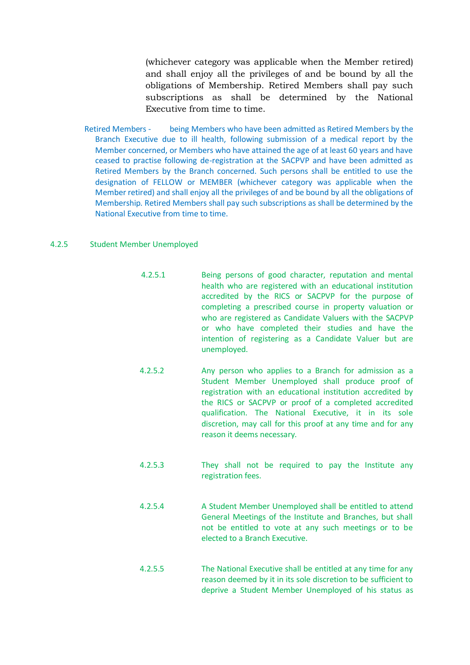(whichever category was applicable when the Member retired) and shall enjoy all the privileges of and be bound by all the obligations of Membership. Retired Members shall pay such subscriptions as shall be determined by the National Executive from time to time.

Retired Members - being Members who have been admitted as Retired Members by the Branch Executive due to ill health, following submission of a medical report by the Member concerned, or Members who have attained the age of at least 60 years and have ceased to practise following de-registration at the SACPVP and have been admitted as Retired Members by the Branch concerned. Such persons shall be entitled to use the designation of FELLOW or MEMBER (whichever category was applicable when the Member retired) and shall enjoy all the privileges of and be bound by all the obligations of Membership. Retired Members shall pay such subscriptions as shall be determined by the National Executive from time to time.

#### 4.2.5 Student Member Unemployed

- 4.2.5.1 Being persons of good character, reputation and mental health who are registered with an educational institution accredited by the RICS or SACPVP for the purpose of completing a prescribed course in property valuation or who are registered as Candidate Valuers with the SACPVP or who have completed their studies and have the intention of registering as a Candidate Valuer but are unemployed.
- 4.2.5.2 Any person who applies to a Branch for admission as a Student Member Unemployed shall produce proof of registration with an educational institution accredited by the RICS or SACPVP or proof of a completed accredited qualification. The National Executive, it in its sole discretion, may call for this proof at any time and for any reason it deems necessary.
- 4.2.5.3 They shall not be required to pay the Institute any registration fees.
- 4.2.5.4 A Student Member Unemployed shall be entitled to attend General Meetings of the Institute and Branches, but shall not be entitled to vote at any such meetings or to be elected to a Branch Executive.
- 4.2.5.5 The National Executive shall be entitled at any time for any reason deemed by it in its sole discretion to be sufficient to deprive a Student Member Unemployed of his status as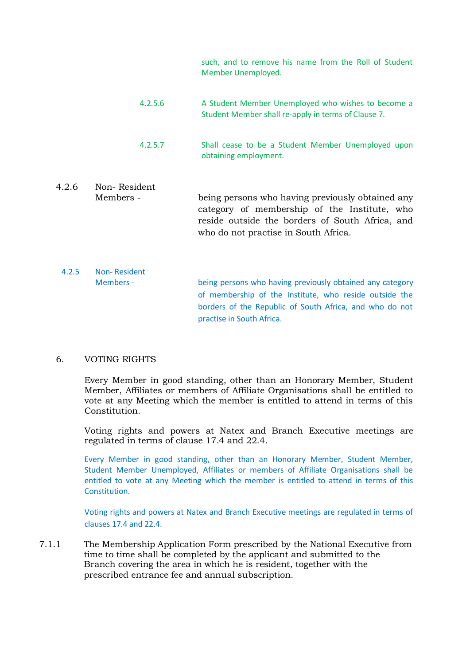such, and to remove his name from the Roll of Student Member Unemployed.

- 4.2.5.6 A Student Member Unemployed who wishes to become a Student Member shall re-apply in terms of Clause 7.
- 4.2.5.7 Shall cease to be a Student Member Unemployed upon obtaining employment.
- 4.2.6 Non- Resident Members - being persons who having previously obtained any category of membership of the Institute, who reside outside the borders of South Africa, and who do not practise in South Africa.
- 4.2.5 Non- Resident Members - being persons who having previously obtained any category of membership of the Institute, who reside outside the borders of the Republic of South Africa, and who do not practise in South Africa.

## 6. VOTING RIGHTS

Every Member in good standing, other than an Honorary Member, Student Member, Affiliates or members of Affiliate Organisations shall be entitled to vote at any Meeting which the member is entitled to attend in terms of this Constitution.

Voting rights and powers at Natex and Branch Executive meetings are regulated in terms of clause 17.4 and 22.4.

Every Member in good standing, other than an Honorary Member, Student Member, Student Member Unemployed, Affiliates or members of Affiliate Organisations shall be entitled to vote at any Meeting which the member is entitled to attend in terms of this Constitution.

Voting rights and powers at Natex and Branch Executive meetings are regulated in terms of clauses 17.4 and 22.4.

7.1.1 The Membership Application Form prescribed by the National Executive from time to time shall be completed by the applicant and submitted to the Branch covering the area in which he is resident, together with the prescribed entrance fee and annual subscription.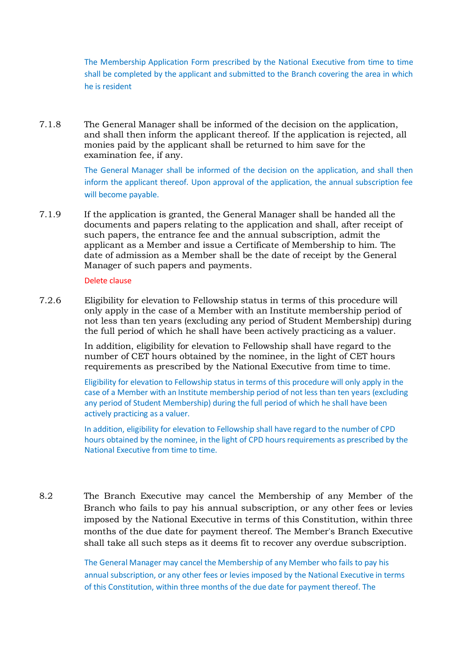The Membership Application Form prescribed by the National Executive from time to time shall be completed by the applicant and submitted to the Branch covering the area in which he is resident

7.1.8 The General Manager shall be informed of the decision on the application, and shall then inform the applicant thereof. If the application is rejected, all monies paid by the applicant shall be returned to him save for the examination fee, if any.

> The General Manager shall be informed of the decision on the application, and shall then inform the applicant thereof. Upon approval of the application, the annual subscription fee will become payable.

7.1.9 If the application is granted, the General Manager shall be handed all the documents and papers relating to the application and shall, after receipt of such papers, the entrance fee and the annual subscription, admit the applicant as a Member and issue a Certificate of Membership to him. The date of admission as a Member shall be the date of receipt by the General Manager of such papers and payments.

#### Delete clause

7.2.6 Eligibility for elevation to Fellowship status in terms of this procedure will only apply in the case of a Member with an Institute membership period of not less than ten years (excluding any period of Student Membership) during the full period of which he shall have been actively practicing as a valuer.

> In addition, eligibility for elevation to Fellowship shall have regard to the number of CET hours obtained by the nominee, in the light of CET hours requirements as prescribed by the National Executive from time to time.

Eligibility for elevation to Fellowship status in terms of this procedure will only apply in the case of a Member with an Institute membership period of not less than ten years (excluding any period of Student Membership) during the full period of which he shall have been actively practicing as a valuer.

In addition, eligibility for elevation to Fellowship shall have regard to the number of CPD hours obtained by the nominee, in the light of CPD hours requirements as prescribed by the National Executive from time to time.

8.2 The Branch Executive may cancel the Membership of any Member of the Branch who fails to pay his annual subscription, or any other fees or levies imposed by the National Executive in terms of this Constitution, within three months of the due date for payment thereof. The Member's Branch Executive shall take all such steps as it deems fit to recover any overdue subscription.

> The General Manager may cancel the Membership of any Member who fails to pay his annual subscription, or any other fees or levies imposed by the National Executive in terms of this Constitution, within three months of the due date for payment thereof. The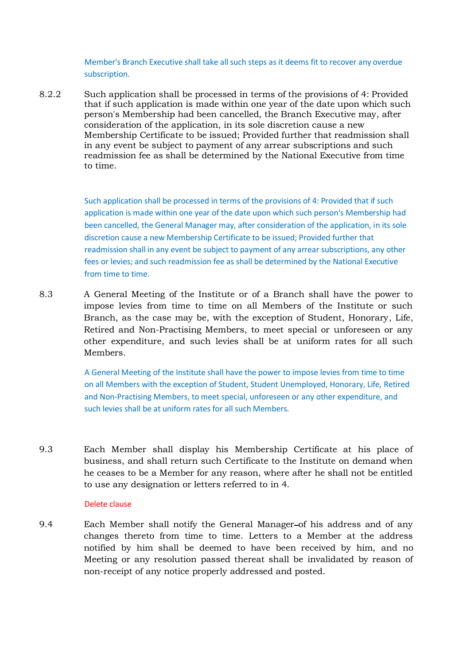Member's Branch Executive shall take all such steps as it deems fit to recover any overdue subscription.

8.2.2 Such application shall be processed in terms of the provisions of 4: Provided that if such application is made within one year of the date upon which such person's Membership had been cancelled, the Branch Executive may, after consideration of the application, in its sole discretion cause a new Membership Certificate to be issued; Provided further that readmission shall in any event be subject to payment of any arrear subscriptions and such readmission fee as shall be determined by the National Executive from time to time.

> Such application shall be processed in terms of the provisions of 4: Provided that if such application is made within one year of the date upon which such person's Membership had been cancelled, the General Manager may, after consideration of the application, in its sole discretion cause a new Membership Certificate to be issued; Provided further that readmission shall in any event be subject to payment of any arrear subscriptions, any other fees or levies; and such readmission fee as shall be determined by the National Executive from time to time.

8.3 A General Meeting of the Institute or of a Branch shall have the power to impose levies from time to time on all Members of the Institute or such Branch, as the case may be, with the exception of Student, Honorary, Life, Retired and Non-Practising Members, to meet special or unforeseen or any other expenditure, and such levies shall be at uniform rates for all such Members.

> A General Meeting of the Institute shall have the power to impose levies from time to time on all Members with the exception of Student, Student Unemployed, Honorary, Life, Retired and Non-Practising Members, to meet special, unforeseen or any other expenditure, and such levies shall be at uniform rates for all such Members.

9.3 Each Member shall display his Membership Certificate at his place of business, and shall return such Certificate to the Institute on demand when he ceases to be a Member for any reason, where after he shall not be entitled to use any designation or letters referred to in 4.

#### Delete clause

9.4 Each Member shall notify the General Manager-of his address and of any changes thereto from time to time. Letters to a Member at the address notified by him shall be deemed to have been received by him, and no Meeting or any resolution passed thereat shall be invalidated by reason of non-receipt of any notice properly addressed and posted.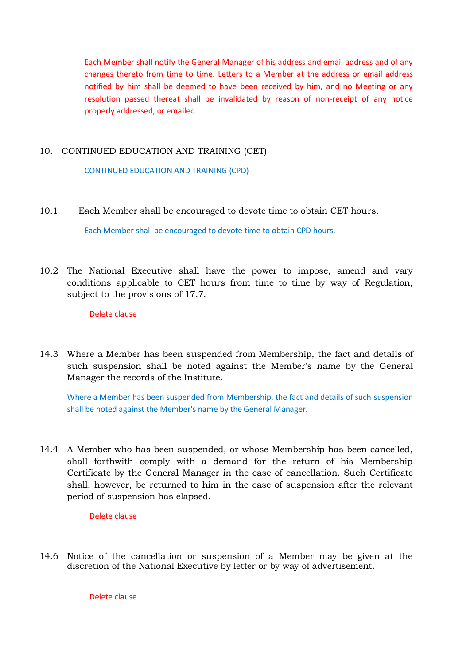Each Member shall notify the General Manager of his address and email address and of any changes thereto from time to time. Letters to a Member at the address or email address notified by him shall be deemed to have been received by him, and no Meeting or any resolution passed thereat shall be invalidated by reason of non-receipt of any notice properly addressed, or emailed.

## 10. CONTINUED EDUCATION AND TRAINING (CET)

CONTINUED EDUCATION AND TRAINING (CPD)

10.1 Each Member shall be encouraged to devote time to obtain CET hours.

Each Member shall be encouraged to devote time to obtain CPD hours.

10.2 The National Executive shall have the power to impose, amend and vary conditions applicable to CET hours from time to time by way of Regulation, subject to the provisions of 17.7.

Delete clause

14.3 Where a Member has been suspended from Membership, the fact and details of such suspension shall be noted against the Member's name by the General Manager the records of the Institute.

Where a Member has been suspended from Membership, the fact and details of such suspension shall be noted against the Member's name by the General Manager.

14.4 A Member who has been suspended, or whose Membership has been cancelled, shall forthwith comply with a demand for the return of his Membership Certificate by the General Manager-in the case of cancellation. Such Certificate shall, however, be returned to him in the case of suspension after the relevant period of suspension has elapsed.

Delete clause

14.6 Notice of the cancellation or suspension of a Member may be given at the discretion of the National Executive by letter or by way of advertisement.

Delete clause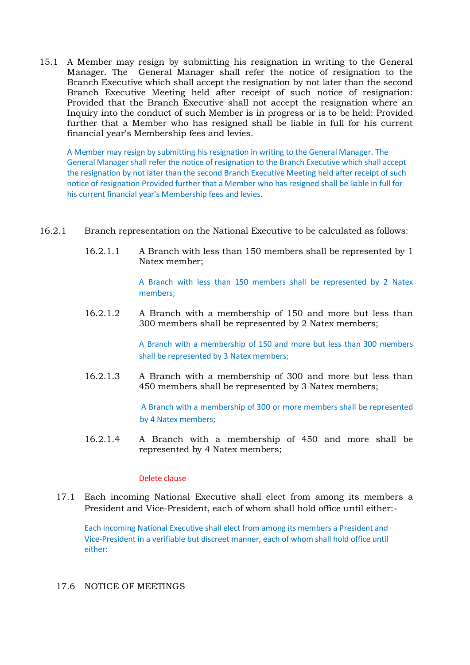15.1 A Member may resign by submitting his resignation in writing to the General Manager. The General Manager shall refer the notice of resignation to the Branch Executive which shall accept the resignation by not later than the second Branch Executive Meeting held after receipt of such notice of resignation: Provided that the Branch Executive shall not accept the resignation where an Inquiry into the conduct of such Member is in progress or is to be held: Provided further that a Member who has resigned shall be liable in full for his current financial year's Membership fees and levies.

A Member may resign by submitting his resignation in writing to the General Manager. The General Manager shall refer the notice of resignation to the Branch Executive which shall accept the resignation by not later than the second Branch Executive Meeting held after receipt of such notice of resignation Provided further that a Member who has resigned shall be liable in full for his current financial year's Membership fees and levies.

- 16.2.1 Branch representation on the National Executive to be calculated as follows:
	- 16.2.1.1 A Branch with less than 150 members shall be represented by 1 Natex member;

A Branch with less than 150 members shall be represented by 2 Natex members;

16.2.1.2 A Branch with a membership of 150 and more but less than 300 members shall be represented by 2 Natex members;

> A Branch with a membership of 150 and more but less than 300 members shall be represented by 3 Natex members;

16.2.1.3 A Branch with a membership of 300 and more but less than 450 members shall be represented by 3 Natex members;

> A Branch with a membership of 300 or more members shall be represented by 4 Natex members;

16.2.1.4 A Branch with a membership of 450 and more shall be represented by 4 Natex members;

### Delete clause

17.1 Each incoming National Executive shall elect from among its members a President and Vice-President, each of whom shall hold office until either:-

Each incoming National Executive shall elect from among its members a President and Vice-President in a verifiable but discreet manner, each of whom shall hold office until either:

## 17.6 NOTICE OF MEETINGS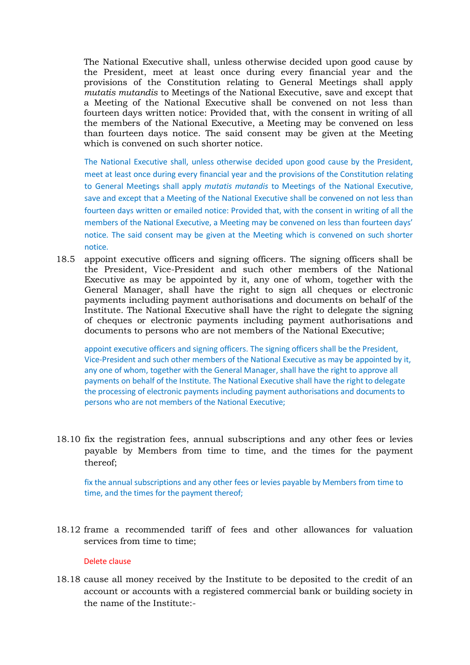The National Executive shall, unless otherwise decided upon good cause by the President, meet at least once during every financial year and the provisions of the Constitution relating to General Meetings shall apply *mutatis mutandis* to Meetings of the National Executive, save and except that a Meeting of the National Executive shall be convened on not less than fourteen days written notice: Provided that, with the consent in writing of all the members of the National Executive, a Meeting may be convened on less than fourteen days notice. The said consent may be given at the Meeting which is convened on such shorter notice.

The National Executive shall, unless otherwise decided upon good cause by the President, meet at least once during every financial year and the provisions of the Constitution relating to General Meetings shall apply *mutatis mutandis* to Meetings of the National Executive, save and except that a Meeting of the National Executive shall be convened on not less than fourteen days written or emailed notice: Provided that, with the consent in writing of all the members of the National Executive, a Meeting may be convened on less than fourteen days' notice. The said consent may be given at the Meeting which is convened on such shorter notice.

18.5 appoint executive officers and signing officers. The signing officers shall be the President, Vice-President and such other members of the National Executive as may be appointed by it, any one of whom, together with the General Manager, shall have the right to sign all cheques or electronic payments including payment authorisations and documents on behalf of the Institute. The National Executive shall have the right to delegate the signing of cheques or electronic payments including payment authorisations and documents to persons who are not members of the National Executive;

appoint executive officers and signing officers. The signing officers shall be the President, Vice-President and such other members of the National Executive as may be appointed by it, any one of whom, together with the General Manager, shall have the right to approve all payments on behalf of the Institute. The National Executive shall have the right to delegate the processing of electronic payments including payment authorisations and documents to persons who are not members of the National Executive;

18.10 fix the registration fees, annual subscriptions and any other fees or levies payable by Members from time to time, and the times for the payment thereof;

fix the annual subscriptions and any other fees or levies payable by Members from time to time, and the times for the payment thereof;

18.12 frame a recommended tariff of fees and other allowances for valuation services from time to time;

#### Delete clause

18.18 cause all money received by the Institute to be deposited to the credit of an account or accounts with a registered commercial bank or building society in the name of the Institute:-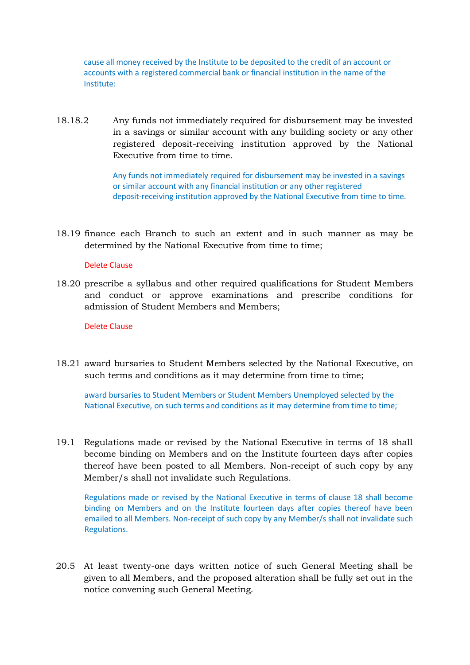cause all money received by the Institute to be deposited to the credit of an account or accounts with a registered commercial bank or financial institution in the name of the Institute:

18.18.2 Any funds not immediately required for disbursement may be invested in a savings or similar account with any building society or any other registered deposit-receiving institution approved by the National Executive from time to time.

> Any funds not immediately required for disbursement may be invested in a savings or similar account with any financial institution or any other registered deposit-receiving institution approved by the National Executive from time to time.

18.19 finance each Branch to such an extent and in such manner as may be determined by the National Executive from time to time;

### Delete Clause

18.20 prescribe a syllabus and other required qualifications for Student Members and conduct or approve examinations and prescribe conditions for admission of Student Members and Members;

#### Delete Clause

18.21 award bursaries to Student Members selected by the National Executive, on such terms and conditions as it may determine from time to time;

award bursaries to Student Members or Student Members Unemployed selected by the National Executive, on such terms and conditions as it may determine from time to time;

19.1 Regulations made or revised by the National Executive in terms of 18 shall become binding on Members and on the Institute fourteen days after copies thereof have been posted to all Members. Non-receipt of such copy by any Member/s shall not invalidate such Regulations.

Regulations made or revised by the National Executive in terms of clause 18 shall become binding on Members and on the Institute fourteen days after copies thereof have been emailed to all Members. Non-receipt of such copy by any Member/s shall not invalidate such Regulations.

20.5 At least twenty-one days written notice of such General Meeting shall be given to all Members, and the proposed alteration shall be fully set out in the notice convening such General Meeting.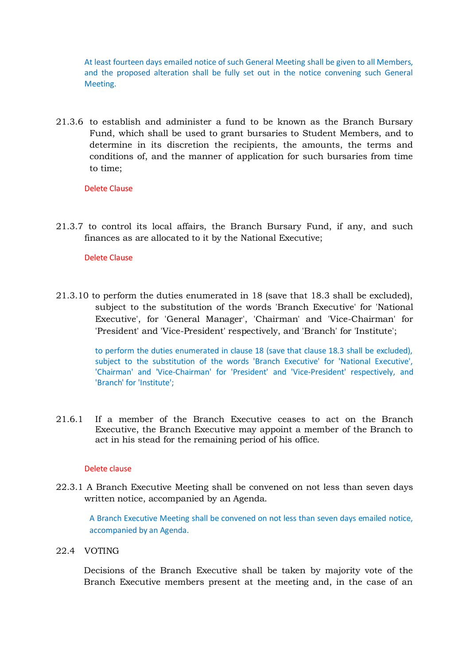At least fourteen days emailed notice of such General Meeting shall be given to all Members, and the proposed alteration shall be fully set out in the notice convening such General Meeting.

21.3.6 to establish and administer a fund to be known as the Branch Bursary Fund, which shall be used to grant bursaries to Student Members, and to determine in its discretion the recipients, the amounts, the terms and conditions of, and the manner of application for such bursaries from time to time;

Delete Clause

21.3.7 to control its local affairs, the Branch Bursary Fund, if any, and such finances as are allocated to it by the National Executive;

Delete Clause

21.3.10 to perform the duties enumerated in 18 (save that 18.3 shall be excluded), subject to the substitution of the words 'Branch Executive' for 'National Executive', for 'General Manager', 'Chairman' and 'Vice-Chairman' for 'President' and 'Vice-President' respectively, and 'Branch' for 'Institute';

> to perform the duties enumerated in clause 18 (save that clause 18.3 shall be excluded), subject to the substitution of the words 'Branch Executive' for 'National Executive', 'Chairman' and 'Vice-Chairman' for 'President' and 'Vice-President' respectively, and 'Branch' for 'Institute';

21.6.1 If a member of the Branch Executive ceases to act on the Branch Executive, the Branch Executive may appoint a member of the Branch to act in his stead for the remaining period of his office.

### Delete clause

22.3.1 A Branch Executive Meeting shall be convened on not less than seven days written notice, accompanied by an Agenda.

A Branch Executive Meeting shall be convened on not less than seven days emailed notice, accompanied by an Agenda.

22.4 VOTING

Decisions of the Branch Executive shall be taken by majority vote of the Branch Executive members present at the meeting and, in the case of an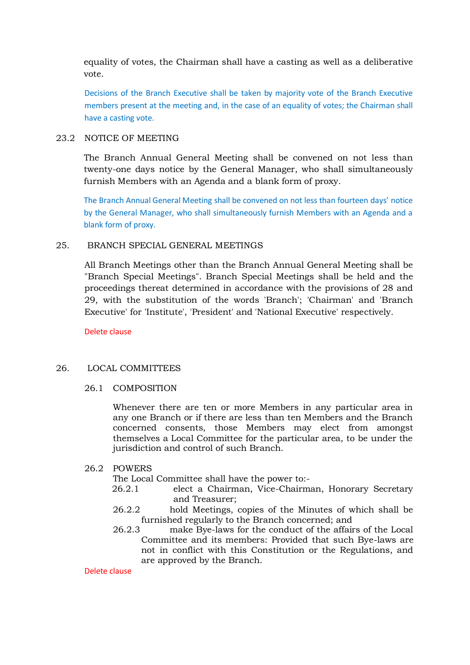equality of votes, the Chairman shall have a casting as well as a deliberative vote.

Decisions of the Branch Executive shall be taken by majority vote of the Branch Executive members present at the meeting and, in the case of an equality of votes; the Chairman shall have a casting vote.

## 23.2 NOTICE OF MEETING

The Branch Annual General Meeting shall be convened on not less than twenty-one days notice by the General Manager, who shall simultaneously furnish Members with an Agenda and a blank form of proxy.

The Branch Annual General Meeting shall be convened on not less than fourteen days' notice by the General Manager, who shall simultaneously furnish Members with an Agenda and a blank form of proxy.

### 25. BRANCH SPECIAL GENERAL MEETINGS

All Branch Meetings other than the Branch Annual General Meeting shall be "Branch Special Meetings". Branch Special Meetings shall be held and the proceedings thereat determined in accordance with the provisions of 28 and 29, with the substitution of the words 'Branch'; 'Chairman' and 'Branch Executive' for 'Institute', 'President' and 'National Executive' respectively.

Delete clause

### 26. LOCAL COMMITTEES

### 26.1 COMPOSITION

Whenever there are ten or more Members in any particular area in any one Branch or if there are less than ten Members and the Branch concerned consents, those Members may elect from amongst themselves a Local Committee for the particular area, to be under the jurisdiction and control of such Branch.

### 26.2 POWERS

The Local Committee shall have the power to:-

- 26.2.1 elect a Chairman, Vice-Chairman, Honorary Secretary and Treasurer;
- 26.2.2 hold Meetings, copies of the Minutes of which shall be furnished regularly to the Branch concerned; and
- 26.2.3 make Bye-laws for the conduct of the affairs of the Local Committee and its members: Provided that such Bye-laws are not in conflict with this Constitution or the Regulations, and are approved by the Branch.

Delete clause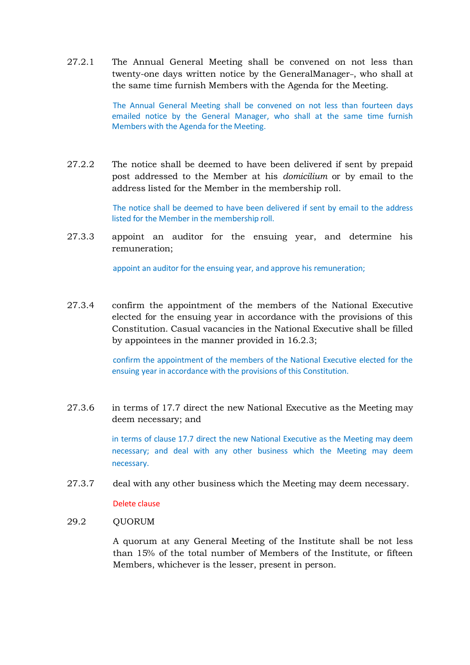27.2.1 The Annual General Meeting shall be convened on not less than twenty-one days written notice by the GeneralManager-, who shall at the same time furnish Members with the Agenda for the Meeting.

> The Annual General Meeting shall be convened on not less than fourteen days emailed notice by the General Manager, who shall at the same time furnish Members with the Agenda for the Meeting.

27.2.2 The notice shall be deemed to have been delivered if sent by prepaid post addressed to the Member at his *domicilium* or by email to the address listed for the Member in the membership roll.

> The notice shall be deemed to have been delivered if sent by email to the address listed for the Member in the membership roll.

27.3.3 appoint an auditor for the ensuing year, and determine his remuneration;

appoint an auditor for the ensuing year, and approve his remuneration;

27.3.4 confirm the appointment of the members of the National Executive elected for the ensuing year in accordance with the provisions of this Constitution. Casual vacancies in the National Executive shall be filled by appointees in the manner provided in 16.2.3;

> confirm the appointment of the members of the National Executive elected for the ensuing year in accordance with the provisions of this Constitution.

27.3.6 in terms of 17.7 direct the new National Executive as the Meeting may deem necessary; and

> in terms of clause 17.7 direct the new National Executive as the Meeting may deem necessary; and deal with any other business which the Meeting may deem necessary.

27.3.7 deal with any other business which the Meeting may deem necessary.

Delete clause

### 29.2 OUORUM

A quorum at any General Meeting of the Institute shall be not less than 15% of the total number of Members of the Institute, or fifteen Members, whichever is the lesser, present in person.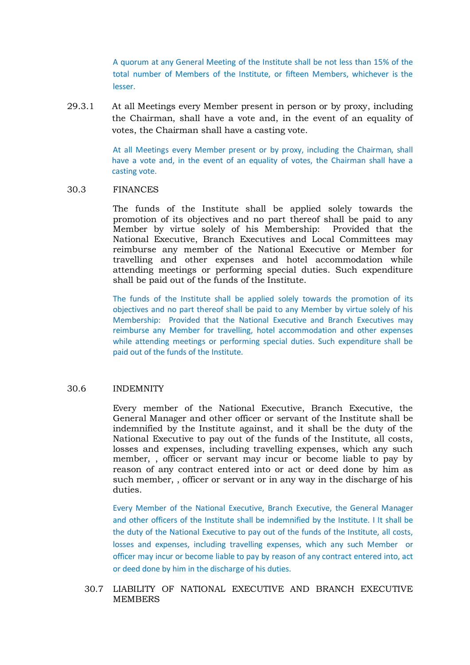A quorum at any General Meeting of the Institute shall be not less than 15% of the total number of Members of the Institute, or fifteen Members, whichever is the lesser.

29.3.1 At all Meetings every Member present in person or by proxy, including the Chairman, shall have a vote and, in the event of an equality of votes, the Chairman shall have a casting vote.

> At all Meetings every Member present or by proxy, including the Chairman, shall have a vote and, in the event of an equality of votes, the Chairman shall have a casting vote.

#### 30.3 FINANCES

The funds of the Institute shall be applied solely towards the promotion of its objectives and no part thereof shall be paid to any Member by virtue solely of his Membership: Provided that the National Executive, Branch Executives and Local Committees may reimburse any member of the National Executive or Member for travelling and other expenses and hotel accommodation while attending meetings or performing special duties. Such expenditure shall be paid out of the funds of the Institute.

The funds of the Institute shall be applied solely towards the promotion of its objectives and no part thereof shall be paid to any Member by virtue solely of his Membership: Provided that the National Executive and Branch Executives may reimburse any Member for travelling, hotel accommodation and other expenses while attending meetings or performing special duties. Such expenditure shall be paid out of the funds of the Institute.

#### 30.6 INDEMNITY

Every member of the National Executive, Branch Executive, the General Manager and other officer or servant of the Institute shall be indemnified by the Institute against, and it shall be the duty of the National Executive to pay out of the funds of the Institute, all costs, losses and expenses, including travelling expenses, which any such member, , officer or servant may incur or become liable to pay by reason of any contract entered into or act or deed done by him as such member, , officer or servant or in any way in the discharge of his duties.

Every Member of the National Executive, Branch Executive, the General Manager and other officers of the Institute shall be indemnified by the Institute. I It shall be the duty of the National Executive to pay out of the funds of the Institute, all costs, losses and expenses, including travelling expenses, which any such Member or officer may incur or become liable to pay by reason of any contract entered into, act or deed done by him in the discharge of his duties.

## 30.7 LIABILITY OF NATIONAL EXECUTIVE AND BRANCH EXECUTIVE **MEMBERS**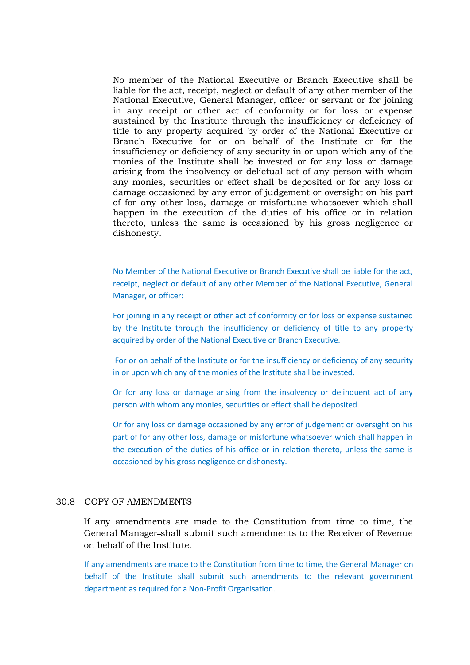No member of the National Executive or Branch Executive shall be liable for the act, receipt, neglect or default of any other member of the National Executive, General Manager, officer or servant or for joining in any receipt or other act of conformity or for loss or expense sustained by the Institute through the insufficiency or deficiency of title to any property acquired by order of the National Executive or Branch Executive for or on behalf of the Institute or for the insufficiency or deficiency of any security in or upon which any of the monies of the Institute shall be invested or for any loss or damage arising from the insolvency or delictual act of any person with whom any monies, securities or effect shall be deposited or for any loss or damage occasioned by any error of judgement or oversight on his part of for any other loss, damage or misfortune whatsoever which shall happen in the execution of the duties of his office or in relation thereto, unless the same is occasioned by his gross negligence or dishonesty.

No Member of the National Executive or Branch Executive shall be liable for the act, receipt, neglect or default of any other Member of the National Executive, General Manager, or officer:

For joining in any receipt or other act of conformity or for loss or expense sustained by the Institute through the insufficiency or deficiency of title to any property acquired by order of the National Executive or Branch Executive.

For or on behalf of the Institute or for the insufficiency or deficiency of any security in or upon which any of the monies of the Institute shall be invested.

Or for any loss or damage arising from the insolvency or delinquent act of any person with whom any monies, securities or effect shall be deposited.

Or for any loss or damage occasioned by any error of judgement or oversight on his part of for any other loss, damage or misfortune whatsoever which shall happen in the execution of the duties of his office or in relation thereto, unless the same is occasioned by his gross negligence or dishonesty.

### 30.8 COPY OF AMENDMENTS

If any amendments are made to the Constitution from time to time, the General Manager shall submit such amendments to the Receiver of Revenue on behalf of the Institute.

If any amendments are made to the Constitution from time to time, the General Manager on behalf of the Institute shall submit such amendments to the relevant government department as required for a Non-Profit Organisation.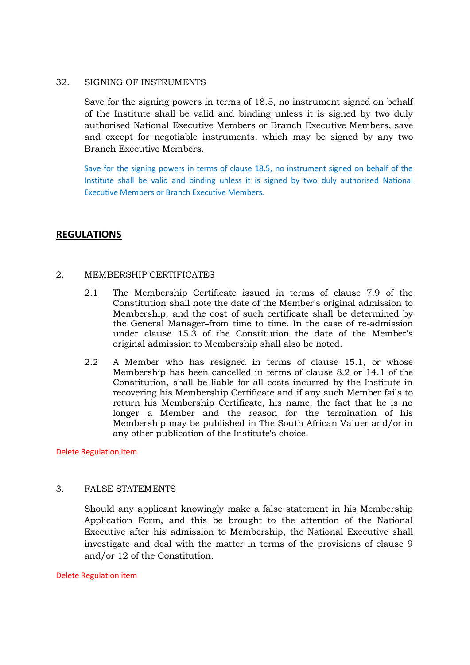### 32. SIGNING OF INSTRUMENTS

Save for the signing powers in terms of 18.5, no instrument signed on behalf of the Institute shall be valid and binding unless it is signed by two duly authorised National Executive Members or Branch Executive Members, save and except for negotiable instruments, which may be signed by any two Branch Executive Members.

Save for the signing powers in terms of clause 18.5, no instrument signed on behalf of the Institute shall be valid and binding unless it is signed by two duly authorised National Executive Members or Branch Executive Members.

# **REGULATIONS**

## 2. MEMBERSHIP CERTIFICATES

- 2.1 The Membership Certificate issued in terms of clause 7.9 of the Constitution shall note the date of the Member's original admission to Membership, and the cost of such certificate shall be determined by the General Manager from time to time. In the case of re-admission under clause 15.3 of the Constitution the date of the Member's original admission to Membership shall also be noted.
- 2.2 A Member who has resigned in terms of clause 15.1, or whose Membership has been cancelled in terms of clause 8.2 or 14.1 of the Constitution, shall be liable for all costs incurred by the Institute in recovering his Membership Certificate and if any such Member fails to return his Membership Certificate, his name, the fact that he is no longer a Member and the reason for the termination of his Membership may be published in The South African Valuer and/or in any other publication of the Institute's choice.

### Delete Regulation item

## 3. FALSE STATEMENTS

Should any applicant knowingly make a false statement in his Membership Application Form, and this be brought to the attention of the National Executive after his admission to Membership, the National Executive shall investigate and deal with the matter in terms of the provisions of clause 9 and/or 12 of the Constitution.

### Delete Regulation item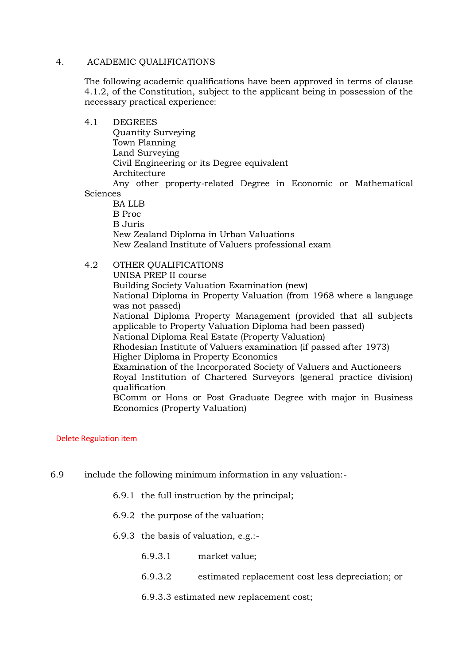### 4. ACADEMIC QUALIFICATIONS

The following academic qualifications have been approved in terms of clause 4.1.2, of the Constitution, subject to the applicant being in possession of the necessary practical experience:

### 4.1 DEGREES

Quantity Surveying Town Planning Land Surveying Civil Engineering or its Degree equivalent Architecture Any other property-related Degree in Economic or Mathematical

#### Sciences

BA LLB B Proc B Juris New Zealand Diploma in Urban Valuations New Zealand Institute of Valuers professional exam

## 4.2 OTHER QUALIFICATIONS

UNISA PREP II course Building Society Valuation Examination (new) National Diploma in Property Valuation (from 1968 where a language was not passed) National Diploma Property Management (provided that all subjects applicable to Property Valuation Diploma had been passed) National Diploma Real Estate (Property Valuation) Rhodesian Institute of Valuers examination (if passed after 1973) Higher Diploma in Property Economics Examination of the Incorporated Society of Valuers and Auctioneers Royal Institution of Chartered Surveyors (general practice division) qualification BComm or Hons or Post Graduate Degree with major in Business Economics (Property Valuation)

### Delete Regulation item

- 6.9 include the following minimum information in any valuation:-
	- 6.9.1 the full instruction by the principal;
	- 6.9.2 the purpose of the valuation;
	- 6.9.3 the basis of valuation, e.g.:-
		- 6.9.3.1 market value;
		- 6.9.3.2 estimated replacement cost less depreciation; or
		- 6.9.3.3 estimated new replacement cost;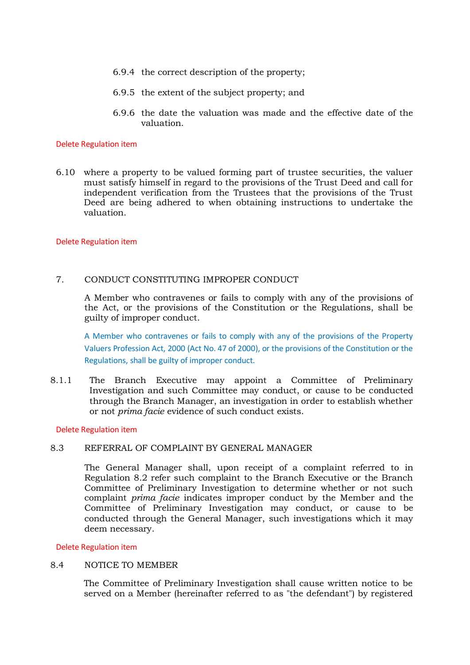- 6.9.4 the correct description of the property;
- 6.9.5 the extent of the subject property; and
- 6.9.6 the date the valuation was made and the effective date of the valuation.

#### Delete Regulation item

6.10 where a property to be valued forming part of trustee securities, the valuer must satisfy himself in regard to the provisions of the Trust Deed and call for independent verification from the Trustees that the provisions of the Trust Deed are being adhered to when obtaining instructions to undertake the valuation.

### Delete Regulation item

### 7. CONDUCT CONSTITUTING IMPROPER CONDUCT

A Member who contravenes or fails to comply with any of the provisions of the Act, or the provisions of the Constitution or the Regulations, shall be guilty of improper conduct.

A Member who contravenes or fails to comply with any of the provisions of the Property Valuers Profession Act, 2000 (Act No. 47 of 2000), or the provisions of the Constitution or the Regulations, shall be guilty of improper conduct.

8.1.1 The Branch Executive may appoint a Committee of Preliminary Investigation and such Committee may conduct, or cause to be conducted through the Branch Manager, an investigation in order to establish whether or not *prima facie* evidence of such conduct exists.

#### Delete Regulation item

### 8.3 REFERRAL OF COMPLAINT BY GENERAL MANAGER

The General Manager shall, upon receipt of a complaint referred to in Regulation 8.2 refer such complaint to the Branch Executive or the Branch Committee of Preliminary Investigation to determine whether or not such complaint *prima facie* indicates improper conduct by the Member and the Committee of Preliminary Investigation may conduct, or cause to be conducted through the General Manager, such investigations which it may deem necessary.

#### Delete Regulation item

### 8.4 NOTICE TO MEMBER

The Committee of Preliminary Investigation shall cause written notice to be served on a Member (hereinafter referred to as "the defendant") by registered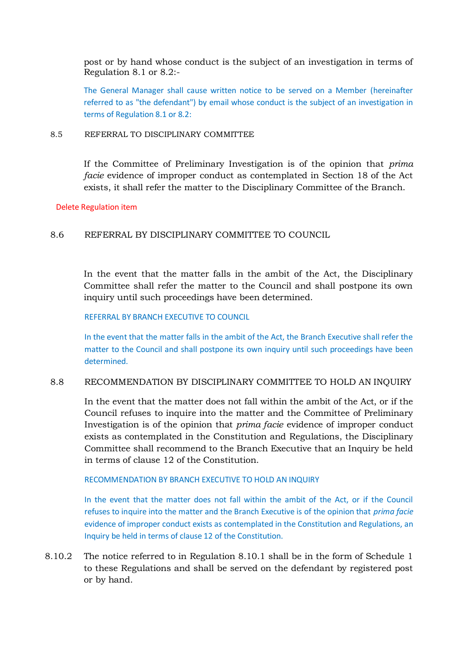post or by hand whose conduct is the subject of an investigation in terms of Regulation 8.1 or 8.2:-

The General Manager shall cause written notice to be served on a Member (hereinafter referred to as "the defendant") by email whose conduct is the subject of an investigation in terms of Regulation 8.1 or 8.2:

### 8.5 REFERRAL TO DISCIPLINARY COMMITTEE

If the Committee of Preliminary Investigation is of the opinion that *prima facie* evidence of improper conduct as contemplated in Section 18 of the Act exists, it shall refer the matter to the Disciplinary Committee of the Branch.

### Delete Regulation item

## 8.6 REFERRAL BY DISCIPLINARY COMMITTEE TO COUNCIL

In the event that the matter falls in the ambit of the Act, the Disciplinary Committee shall refer the matter to the Council and shall postpone its own inquiry until such proceedings have been determined.

### REFERRAL BY BRANCH EXECUTIVE TO COUNCIL

In the event that the matter falls in the ambit of the Act, the Branch Executive shall refer the matter to the Council and shall postpone its own inquiry until such proceedings have been determined.

## 8.8 RECOMMENDATION BY DISCIPLINARY COMMITTEE TO HOLD AN INQUIRY

In the event that the matter does not fall within the ambit of the Act, or if the Council refuses to inquire into the matter and the Committee of Preliminary Investigation is of the opinion that *prima facie* evidence of improper conduct exists as contemplated in the Constitution and Regulations, the Disciplinary Committee shall recommend to the Branch Executive that an Inquiry be held in terms of clause 12 of the Constitution.

## RECOMMENDATION BY BRANCH EXECUTIVE TO HOLD AN INQUIRY

In the event that the matter does not fall within the ambit of the Act, or if the Council refuses to inquire into the matter and the Branch Executive is of the opinion that *prima facie* evidence of improper conduct exists as contemplated in the Constitution and Regulations, an Inquiry be held in terms of clause 12 of the Constitution.

8.10.2 The notice referred to in Regulation 8.10.1 shall be in the form of Schedule 1 to these Regulations and shall be served on the defendant by registered post or by hand.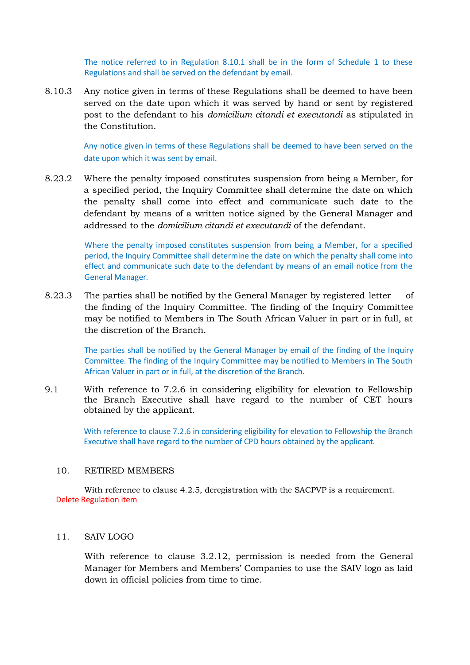The notice referred to in Regulation 8.10.1 shall be in the form of Schedule 1 to these Regulations and shall be served on the defendant by email.

8.10.3 Any notice given in terms of these Regulations shall be deemed to have been served on the date upon which it was served by hand or sent by registered post to the defendant to his *domicilium citandi et executandi* as stipulated in the Constitution.

> Any notice given in terms of these Regulations shall be deemed to have been served on the date upon which it was sent by email.

8.23.2 Where the penalty imposed constitutes suspension from being a Member, for a specified period, the Inquiry Committee shall determine the date on which the penalty shall come into effect and communicate such date to the defendant by means of a written notice signed by the General Manager and addressed to the *domicilium citandi et executandi* of the defendant.

> Where the penalty imposed constitutes suspension from being a Member, for a specified period, the Inquiry Committee shall determine the date on which the penalty shall come into effect and communicate such date to the defendant by means of an email notice from the General Manager.

8.23.3 The parties shall be notified by the General Manager by registered letter of the finding of the Inquiry Committee. The finding of the Inquiry Committee may be notified to Members in The South African Valuer in part or in full, at the discretion of the Branch.

> The parties shall be notified by the General Manager by email of the finding of the Inquiry Committee. The finding of the Inquiry Committee may be notified to Members in The South African Valuer in part or in full, at the discretion of the Branch.

9.1 With reference to 7.2.6 in considering eligibility for elevation to Fellowship the Branch Executive shall have regard to the number of CET hours obtained by the applicant.

> With reference to clause 7.2.6 in considering eligibility for elevation to Fellowship the Branch Executive shall have regard to the number of CPD hours obtained by the applicant.

#### 10. RETIRED MEMBERS

With reference to clause 4.2.5, deregistration with the SACPVP is a requirement. Delete Regulation item

### 11. SAIV LOGO

With reference to clause 3.2.12, permission is needed from the General Manager for Members and Members' Companies to use the SAIV logo as laid down in official policies from time to time.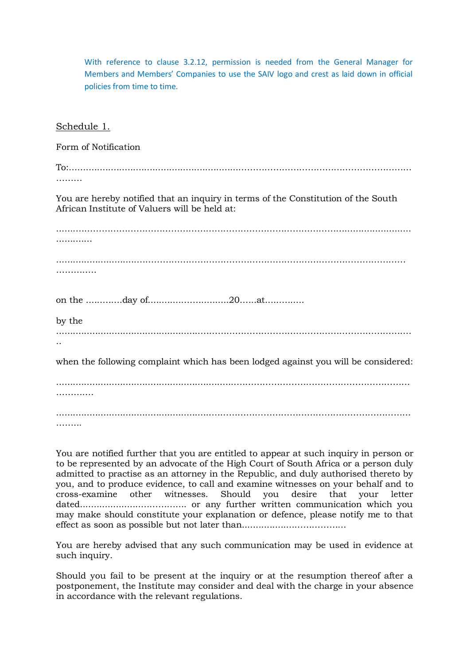With reference to clause 3.2.12, permission is needed from the General Manager for Members and Members' Companies to use the SAIV logo and crest as laid down in official policies from time to time. Schedule 1. Form of Notification To:.............................................................…………………………………………………… ……… You are hereby notified that an inquiry in terms of the Constitution of the South African Institute of Valuers will be held at: .......…………………………………………………………………………………........................ ............. .............................………………………………………………………………………………… . . . . . . . . . . . . . on the ......…....day of............……...........20.…..at.....…...... by the ....................................................………………………………………………………………. .. when the following complaint which has been lodged against you will be considered: .................................................................…………………………………………………… ………… ........................................................…………………………………………………………… ………

You are notified further that you are entitled to appear at such inquiry in person or to be represented by an advocate of the High Court of South Africa or a person duly admitted to practise as an attorney in the Republic, and duly authorised thereto by you, and to produce evidence, to call and examine witnesses on your behalf and to cross-examine other witnesses. Should you desire that your letter dated......................………….... or any further written communication which you may make should constitute your explanation or defence, please notify me to that effect as soon as possible but not later than...................……………...

You are hereby advised that any such communication may be used in evidence at such inquiry.

Should you fail to be present at the inquiry or at the resumption thereof after a postponement, the Institute may consider and deal with the charge in your absence in accordance with the relevant regulations.